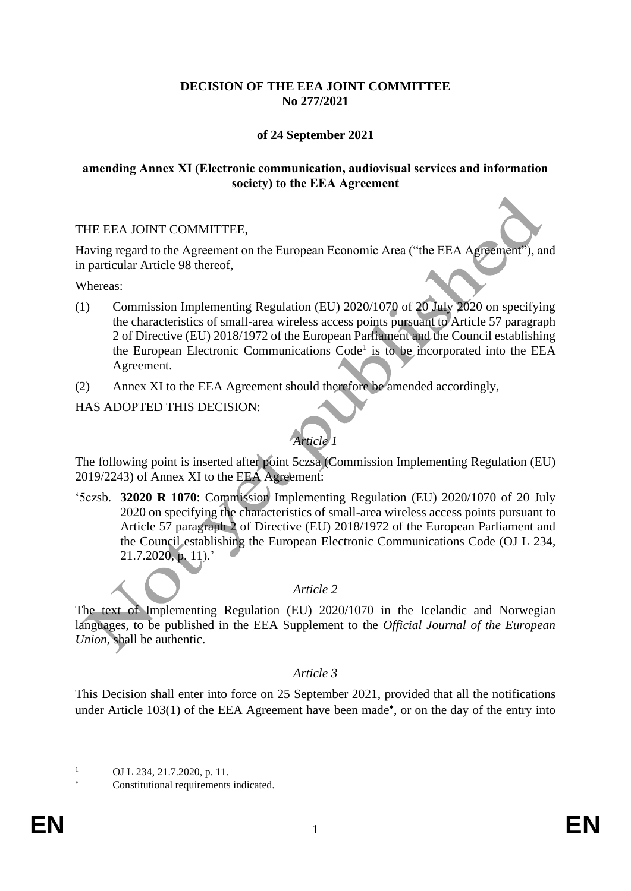### **DECISION OF THE EEA JOINT COMMITTEE No 277/2021**

## **of 24 September 2021**

#### **amending Annex XI (Electronic communication, audiovisual services and information society) to the EEA Agreement**

#### THE EEA JOINT COMMITTEE,

Having regard to the Agreement on the European Economic Area ("the EEA Agreement"), and in particular Article 98 thereof,

Whereas:

- (1) Commission Implementing Regulation (EU) 2020/1070 of 20 July 2020 on specifying the characteristics of small-area wireless access points pursuant to Article 57 paragraph 2 of Directive (EU) 2018/1972 of the European Parliament and the Council establishing the European Electronic Communications Code<sup>1</sup> is to be incorporated into the EEA Agreement.
- (2) Annex XI to the EEA Agreement should therefore be amended accordingly,

HAS ADOPTED THIS DECISION:

# *Article 1*

The following point is inserted after point 5czsa (Commission Implementing Regulation (EU) 2019/2243) of Annex XI to the EEA Agreement:

'5czsb. **32020 R 1070**: Commission Implementing Regulation (EU) 2020/1070 of 20 July 2020 on specifying the characteristics of small-area wireless access points pursuant to Article 57 paragraph 2 of Directive (EU) 2018/1972 of the European Parliament and the Council establishing the European Electronic Communications Code (OJ L 234, 21.7.2020, p. 11).'

## *Article 2*

The text of Implementing Regulation (EU) 2020/1070 in the Icelandic and Norwegian languages, to be published in the EEA Supplement to the *Official Journal of the European Union*, shall be authentic.

## *Article 3*

This Decision shall enter into force on 25 September 2021, provided that all the notifications under Article 103(1) of the EEA Agreement have been made<sup>\*</sup>, or on the day of the entry into

OJ L 234, 21.7.2020, p. 11.

Constitutional requirements indicated.